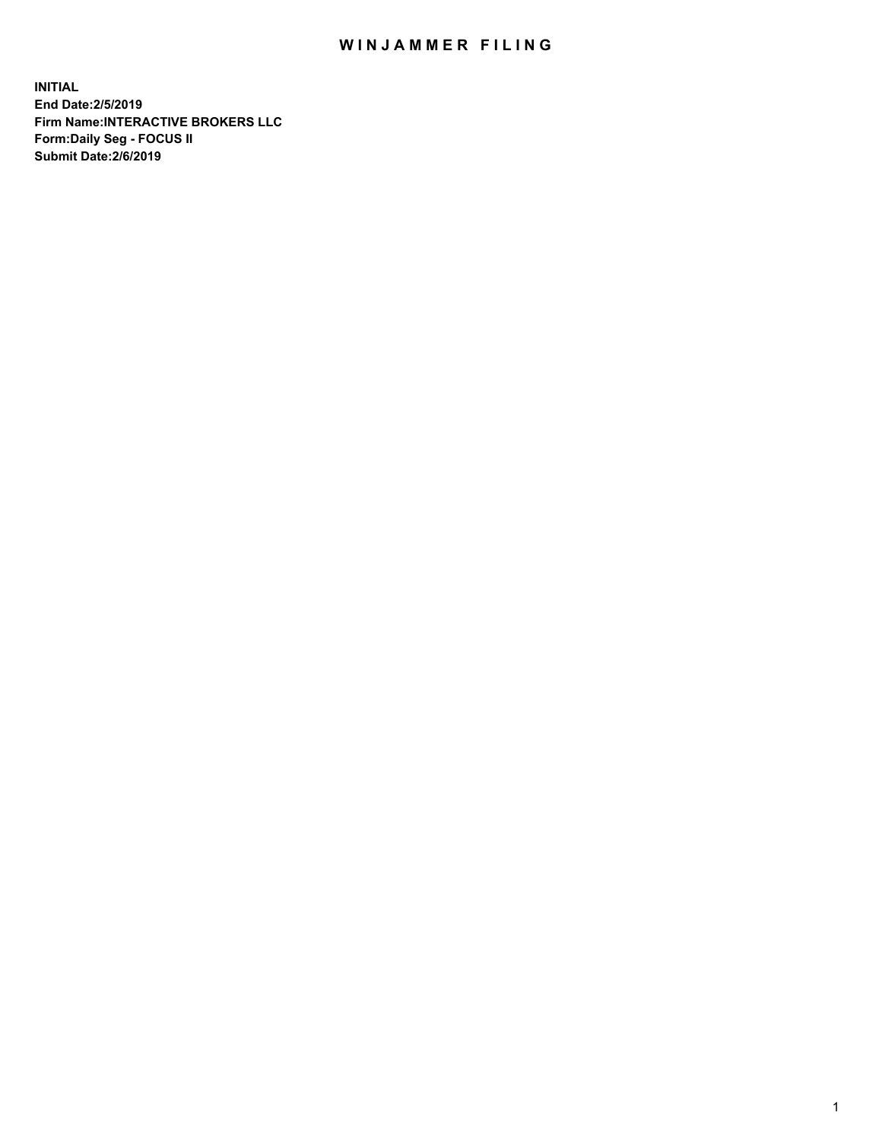## WIN JAMMER FILING

**INITIAL End Date:2/5/2019 Firm Name:INTERACTIVE BROKERS LLC Form:Daily Seg - FOCUS II Submit Date:2/6/2019**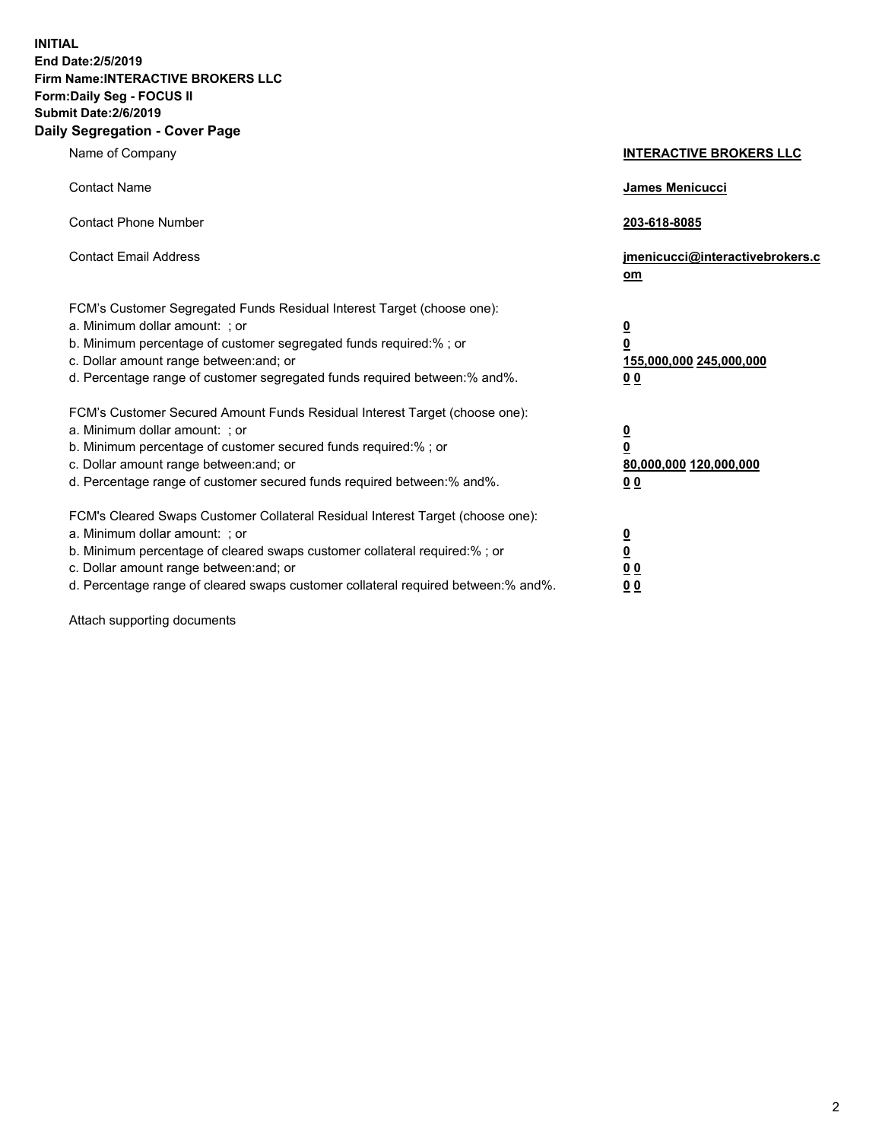**INITIAL End Date:2/5/2019 Firm Name:INTERACTIVE BROKERS LLC Form:Daily Seg - FOCUS II Submit Date:2/6/2019 Daily Segregation - Cover Page**

| Name of Company                                                                                                                                                                                                                                                                                                                | <b>INTERACTIVE BROKERS LLC</b>                                                      |
|--------------------------------------------------------------------------------------------------------------------------------------------------------------------------------------------------------------------------------------------------------------------------------------------------------------------------------|-------------------------------------------------------------------------------------|
| <b>Contact Name</b>                                                                                                                                                                                                                                                                                                            | James Menicucci                                                                     |
| <b>Contact Phone Number</b>                                                                                                                                                                                                                                                                                                    | 203-618-8085                                                                        |
| <b>Contact Email Address</b>                                                                                                                                                                                                                                                                                                   | jmenicucci@interactivebrokers.c<br>om                                               |
| FCM's Customer Segregated Funds Residual Interest Target (choose one):<br>a. Minimum dollar amount: ; or<br>b. Minimum percentage of customer segregated funds required:% ; or<br>c. Dollar amount range between: and; or<br>d. Percentage range of customer segregated funds required between:% and%.                         | $\overline{\mathbf{0}}$<br>$\overline{\mathbf{0}}$<br>155,000,000 245,000,000<br>00 |
| FCM's Customer Secured Amount Funds Residual Interest Target (choose one):<br>a. Minimum dollar amount: ; or<br>b. Minimum percentage of customer secured funds required:% ; or<br>c. Dollar amount range between: and; or<br>d. Percentage range of customer secured funds required between:% and%.                           | $\overline{\mathbf{0}}$<br>$\pmb{0}$<br>80,000,000 120,000,000<br>00                |
| FCM's Cleared Swaps Customer Collateral Residual Interest Target (choose one):<br>a. Minimum dollar amount: ; or<br>b. Minimum percentage of cleared swaps customer collateral required:% ; or<br>c. Dollar amount range between: and; or<br>d. Percentage range of cleared swaps customer collateral required between:% and%. | $\overline{\mathbf{0}}$<br>$\underline{\mathbf{0}}$<br>0 <sub>0</sub><br>00         |

Attach supporting documents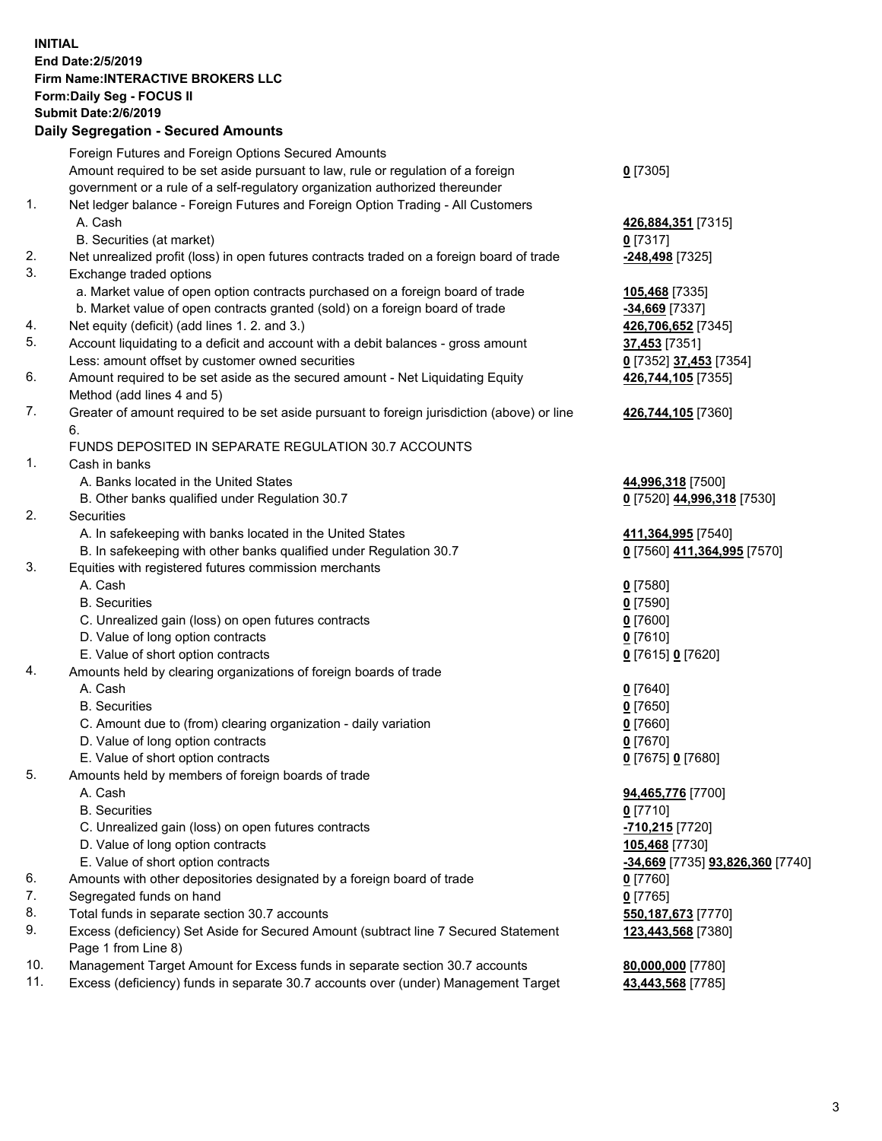## **INITIAL End Date:2/5/2019 Firm Name:INTERACTIVE BROKERS LLC Form:Daily Seg - FOCUS II Submit Date:2/6/2019 Daily Segregation - Secured Amounts**

|                | Dany Ocgregation - Occarea Anioants                                                                  |                                  |
|----------------|------------------------------------------------------------------------------------------------------|----------------------------------|
|                | Foreign Futures and Foreign Options Secured Amounts                                                  |                                  |
|                | Amount required to be set aside pursuant to law, rule or regulation of a foreign                     | $0$ [7305]                       |
|                | government or a rule of a self-regulatory organization authorized thereunder                         |                                  |
| 1.             | Net ledger balance - Foreign Futures and Foreign Option Trading - All Customers                      |                                  |
|                | A. Cash                                                                                              | 426,884,351 [7315]               |
|                | B. Securities (at market)                                                                            | $0$ [7317]                       |
| 2.             | Net unrealized profit (loss) in open futures contracts traded on a foreign board of trade            | -248,498 [7325]                  |
| 3.             | Exchange traded options                                                                              |                                  |
|                | a. Market value of open option contracts purchased on a foreign board of trade                       | 105,468 [7335]                   |
|                | b. Market value of open contracts granted (sold) on a foreign board of trade                         | -34,669 [7337]                   |
| 4.             | Net equity (deficit) (add lines 1. 2. and 3.)                                                        | 426,706,652 [7345]               |
| 5.             | Account liquidating to a deficit and account with a debit balances - gross amount                    | <b>37,453</b> [7351]             |
|                | Less: amount offset by customer owned securities                                                     | 0 [7352] 37,453 [7354]           |
| 6.             | Amount required to be set aside as the secured amount - Net Liquidating Equity                       | 426,744,105 [7355]               |
|                | Method (add lines 4 and 5)                                                                           |                                  |
| 7.             | Greater of amount required to be set aside pursuant to foreign jurisdiction (above) or line          | 426,744,105 [7360]               |
|                | 6.                                                                                                   |                                  |
|                | FUNDS DEPOSITED IN SEPARATE REGULATION 30.7 ACCOUNTS                                                 |                                  |
| $\mathbf{1}$ . | Cash in banks                                                                                        |                                  |
|                | A. Banks located in the United States                                                                | 44,996,318 [7500]                |
|                | B. Other banks qualified under Regulation 30.7                                                       | 0 [7520] 44,996,318 [7530]       |
| 2.             | Securities                                                                                           |                                  |
|                | A. In safekeeping with banks located in the United States                                            | 411,364,995 [7540]               |
|                | B. In safekeeping with other banks qualified under Regulation 30.7                                   | 0 [7560] 411,364,995 [7570]      |
| 3.             | Equities with registered futures commission merchants                                                |                                  |
|                | A. Cash                                                                                              | $0$ [7580]                       |
|                | <b>B.</b> Securities                                                                                 | $0$ [7590]                       |
|                | C. Unrealized gain (loss) on open futures contracts                                                  | $0$ [7600]                       |
|                | D. Value of long option contracts                                                                    | $0$ [7610]                       |
|                | E. Value of short option contracts                                                                   | 0 [7615] 0 [7620]                |
| 4.             | Amounts held by clearing organizations of foreign boards of trade                                    |                                  |
|                | A. Cash                                                                                              | $0$ [7640]                       |
|                | <b>B.</b> Securities                                                                                 | $0$ [7650]                       |
|                | C. Amount due to (from) clearing organization - daily variation<br>D. Value of long option contracts | $0$ [7660]                       |
|                |                                                                                                      | $0$ [7670]                       |
| 5.             | E. Value of short option contracts                                                                   | 0 [7675] 0 [7680]                |
|                | Amounts held by members of foreign boards of trade<br>A. Cash                                        | 94,465,776 [7700]                |
|                | <b>B.</b> Securities                                                                                 | $0$ [7710]                       |
|                | C. Unrealized gain (loss) on open futures contracts                                                  | -710,215 [7720]                  |
|                | D. Value of long option contracts                                                                    | 105,468 [7730]                   |
|                | E. Value of short option contracts                                                                   | -34,669 [7735] 93,826,360 [7740] |
| 6.             | Amounts with other depositories designated by a foreign board of trade                               | 0 [7760]                         |
| 7.             | Segregated funds on hand                                                                             | $0$ [7765]                       |
| 8.             | Total funds in separate section 30.7 accounts                                                        | 550, 187, 673 [7770]             |
| 9.             | Excess (deficiency) Set Aside for Secured Amount (subtract line 7 Secured Statement                  | 123,443,568 [7380]               |
|                | Page 1 from Line 8)                                                                                  |                                  |
| 10.            | Management Target Amount for Excess funds in separate section 30.7 accounts                          | 80,000,000 [7780]                |
| 11.            | Excess (deficiency) funds in separate 30.7 accounts over (under) Management Target                   | 43,443,568 [7785]                |
|                |                                                                                                      |                                  |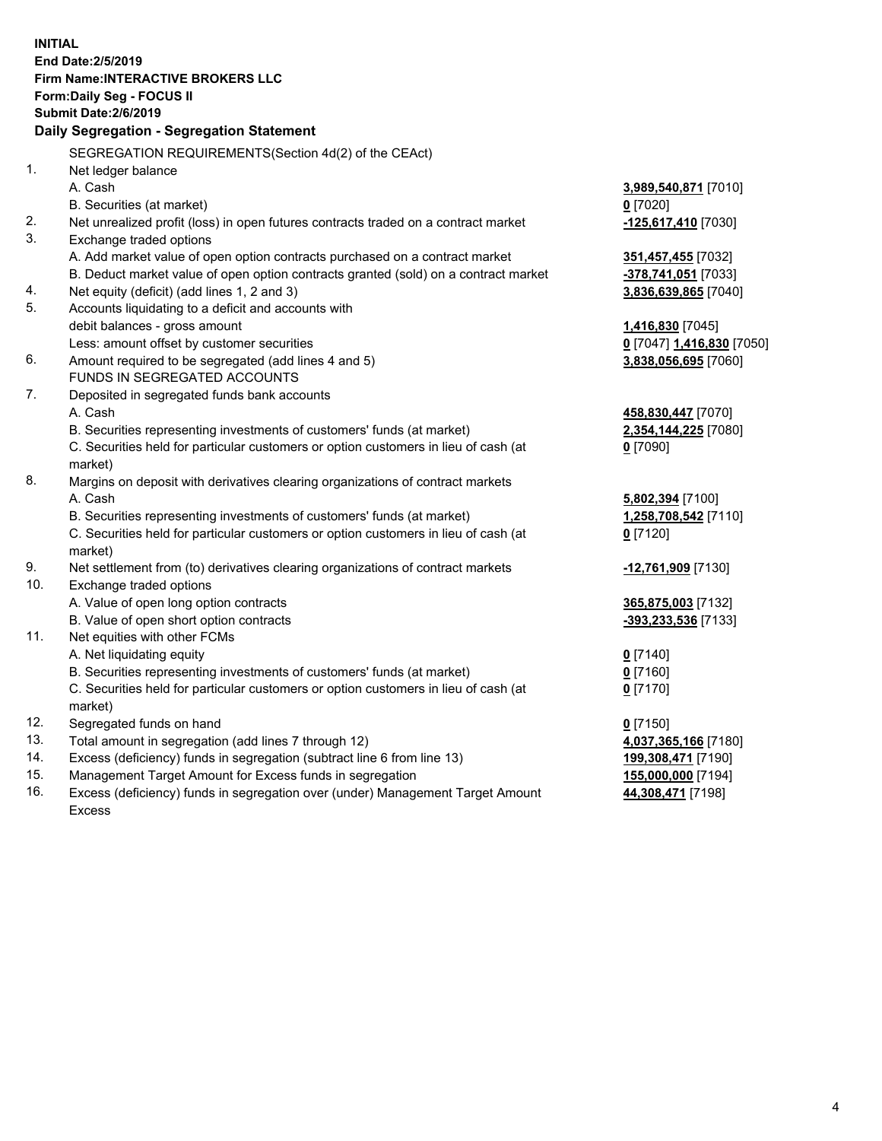|     | <b>INITIAL</b>                                                                      |                           |
|-----|-------------------------------------------------------------------------------------|---------------------------|
|     | End Date: 2/5/2019                                                                  |                           |
|     | <b>Firm Name: INTERACTIVE BROKERS LLC</b>                                           |                           |
|     | Form: Daily Seg - FOCUS II                                                          |                           |
|     | <b>Submit Date: 2/6/2019</b>                                                        |                           |
|     | Daily Segregation - Segregation Statement                                           |                           |
|     | SEGREGATION REQUIREMENTS (Section 4d(2) of the CEAct)                               |                           |
| 1.  | Net ledger balance                                                                  |                           |
|     | A. Cash                                                                             | 3,989,540,871 [7010]      |
|     | B. Securities (at market)                                                           | $0$ [7020]                |
| 2.  | Net unrealized profit (loss) in open futures contracts traded on a contract market  | -125,617,410 [7030]       |
| 3.  | Exchange traded options                                                             |                           |
|     | A. Add market value of open option contracts purchased on a contract market         | 351,457,455 [7032]        |
|     | B. Deduct market value of open option contracts granted (sold) on a contract market | -378,741,051 [7033]       |
| 4.  | Net equity (deficit) (add lines 1, 2 and 3)                                         | 3,836,639,865 [7040]      |
| 5.  | Accounts liquidating to a deficit and accounts with                                 |                           |
|     | debit balances - gross amount                                                       | 1,416,830 [7045]          |
|     | Less: amount offset by customer securities                                          | 0 [7047] 1,416,830 [7050] |
| 6.  | Amount required to be segregated (add lines 4 and 5)                                | 3,838,056,695 [7060]      |
|     | FUNDS IN SEGREGATED ACCOUNTS                                                        |                           |
| 7.  | Deposited in segregated funds bank accounts                                         |                           |
|     | A. Cash                                                                             | 458,830,447 [7070]        |
|     | B. Securities representing investments of customers' funds (at market)              | 2,354,144,225 [7080]      |
|     | C. Securities held for particular customers or option customers in lieu of cash (at | $0$ [7090]                |
|     | market)                                                                             |                           |
| 8.  | Margins on deposit with derivatives clearing organizations of contract markets      |                           |
|     | A. Cash                                                                             | 5,802,394 [7100]          |
|     | B. Securities representing investments of customers' funds (at market)              | 1,258,708,542 [7110]      |
|     | C. Securities held for particular customers or option customers in lieu of cash (at | $0$ [7120]                |
|     | market)                                                                             |                           |
| 9.  | Net settlement from (to) derivatives clearing organizations of contract markets     | -12,761,909 [7130]        |
| 10. | Exchange traded options                                                             |                           |
|     | A. Value of open long option contracts                                              | 365,875,003 [7132]        |
|     | B. Value of open short option contracts                                             | -393,233,536 [7133]       |
| 11. | Net equities with other FCMs                                                        |                           |
|     | A. Net liquidating equity                                                           | $0$ [7140]                |
|     | B. Securities representing investments of customers' funds (at market)              | $0$ [7160]                |
|     | C. Securities held for particular customers or option customers in lieu of cash (at | $0$ [7170]                |
|     | market)                                                                             |                           |
| 12. | Segregated funds on hand                                                            | $0$ [7150]                |
| 13. | Total amount in segregation (add lines 7 through 12)                                | 4,037,365,166 [7180]      |
| 14. | Excess (deficiency) funds in segregation (subtract line 6 from line 13)             | 199,308,471 [7190]        |
| 15. | Management Target Amount for Excess funds in segregation                            | 155,000,000 [7194]        |

16. Excess (deficiency) funds in segregation over (under) Management Target Amount Excess

**44,308,471** [7198]